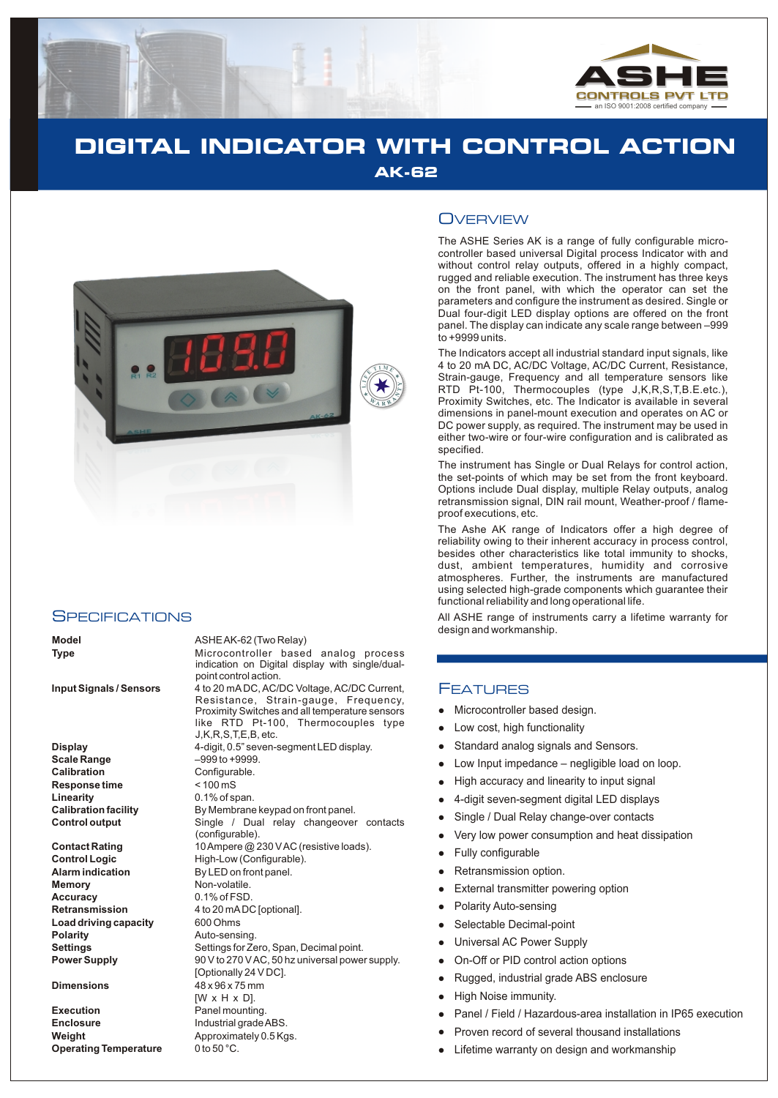

# **DIGITAL INDICATOR WITH CONTROL ACTION AK-62**



### **SPECIFICATIONS**

**Display** 4-digit, 0.5" seven-segment LED display. **Scale Range**  $-999$  to +9999.<br> **Calibration** Configurable. **Response time Linearity** 0.1% of span.

**Memory** Non-volatile. **Accuracy** 0.1% of FSD. **Load driving capacity** 600 Ohms **Polarity Auto-sensing.**<br> **Settings CONS** Settings for Ze

**Execution** Panel mounting. **Enclosure** Industrial grade ABS. **Weight** Approximately 0.5 Kgs.<br> **Operating Temperature** 0 to 50 °C. **Operating Temperature** 

#### **Model** ASHE AK-62 (Two Relay)

**Type** Microcontroller based analog process indication on Digital display with single/dualpoint control action.

**Input Signals / Sensors** 4 to 20 mA DC, AC/DC Voltage, AC/DC Current, Resistance, Strain-gauge, Frequency, Proximity Switches and all temperature sensors like RTD Pt-100, Thermocouples type J,K,R,S,T,E,B, etc.

Configurable.<br>
< 100 mS **Calibration facility** By Membrane keypad on front panel. **Control output** Single / Dual relay changeover contacts (configurable). **Contact Rating** 10 Ampere @ 230 V AC (resistive loads). **Control Logic** High-Low (Configurable). **Alarm indication** By LED on front panel. **Retransmission** 4 to 20 mADC [optional]. **Settings** Settings for Zero, Span, Decimal point.<br> **Power Supply** Settings OV to 270 V AC, 50 hz universal power **Power Supply** 90 V to 270 V AC, 50 hz universal power supply. [Optionally 24 V DC]. **Dimensions** 48 x 96 x 75 mm [W x H x D].

## **OVERVIEW**

The ASHE Series AK is a range of fully configurable microcontroller based universal Digital process Indicator with and without control relay outputs, offered in a highly compact, rugged and reliable execution. The instrument has three keys on the front panel, with which the operator can set the parameters and configure the instrument as desired. Single or Dual four-digit LED display options are offered on the front panel. The display can indicate any scale range between –999 to +9999 units.

The Indicators accept all industrial standard input signals, like 4 to 20 mA DC, AC/DC Voltage, AC/DC Current, Resistance, Strain-gauge, Frequency and all temperature sensors like RTD Pt-100, Thermocouples (type J,K,R,S,T,B.E.etc.), Proximity Switches, etc. The Indicator is available in several dimensions in panel-mount execution and operates on AC or DC power supply, as required. The instrument may be used in either two-wire or four-wire configuration and is calibrated as specified.

The instrument has Single or Dual Relays for control action, the set-points of which may be set from the front keyboard. Options include Dual display, multiple Relay outputs, analog retransmission signal, DIN rail mount, Weather-proof / flameproof executions, etc.

The Ashe AK range of Indicators offer a high degree of reliability owing to their inherent accuracy in process control, besides other characteristics like total immunity to shocks, dust, ambient temperatures, humidity and corrosive atmospheres. Further, the instruments are manufactured using selected high-grade components which guarantee their functional reliability and long operational life.

All ASHE range of instruments carry a lifetime warranty for design and workmanship.

### FEATURES

- Microcontroller based design.
- llllow<br>
llow High<br>
llow High<br>
llow High<br>
llow High<br>
llow Exte<br>
llow Sele<br>
llow Dn-C<br>
Rug<br>
llow High<br>
Pan<br>
ligh<br>
Pan<br>
ligh<br>
ligh<br>
Pan<br>
ligh<br>
Pan<br>
ligh<br>
Pan<br>
ligh<br>
Pan<br>
ligh<br>
Pan Low cost, high functionality
- Standard analog signals and Sensors.
- Low Input impedance negligible load on loop.
- High accuracy and linearity to input signal
- 4-digit seven-segment digital LED displays
- Single / Dual Relay change-over contacts
- Very low power consumption and heat dissipation
- Fully configurable
- Retransmission option.
- External transmitter powering option
- Polarity Auto-sensing
- Selectable Decimal-point
- Universal AC Power Supply
- On-Off or PID control action options
- Rugged, industrial grade ABS enclosure
- High Noise immunity.
- Panel / Field / Hazardous-area installation in IP65 execution
- Proven record of several thousand installations
- Lifetime warranty on design and workmanship